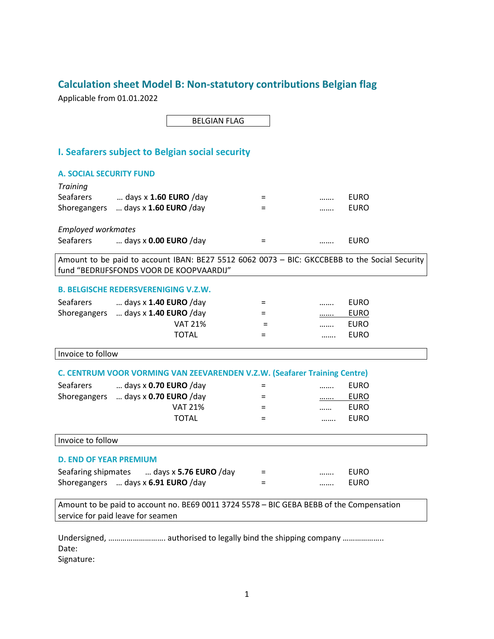### **Calculation sheet Model B: Non-statutory contributions Belgian flag**

Applicable from 01.01.2022

BELGIAN FLAG

#### **I. Seafarers subject to Belgian social security**

## **A. SOCIAL SECURITY FUND** *Training* = ……. EURO = ……. EURO Seafarers … days x **1.60 EURO** /day Shoregangers … days x **1.60 EURO** /day *Employed workmates* Seafarers … days x **0.00 EURO** /day = ……. EURO Amount to be paid to account IBAN: BE27 5512 6062 0073 – BIC: GKCCBEBB to the Social Security fund "BEDRIJFSFONDS VOOR DE KOOPVAARDIJ" **B. BELGISCHE REDERSVERENIGING V.Z.W.** Seafarers … days x **1.40 EURO** /day = ……. EURO Shoregangers ... days x **1.40 EURO** /day  $=$  The summer and  $=$  The summer and  $=$  The summer and  $=$  The summer and  $=$  The summer and  $=$  The summer and  $=$  The summer and  $=$  The summer and  $=$  The summer and  $=$  The su VAT 21% = ……. EURO TOTAL = ……. EURO Invoice to follow **C. CENTRUM VOOR VORMING VAN ZEEVARENDEN V.Z.W. (Seafarer Training Centre)** Seafarers … days x **0.70 EURO** /day = ……. EURO Shoregangers … days x **0.70 EURO** /day = ……. EURO VAT 21% = …… EURO TOTAL = ……. EURO Invoice to follow **D. END OF YEAR PREMIUM** Seafaring shipmates … days x **5.76 EURO** /day = ……. EURO Shoregangers … days x **6.91 EURO** /day = ……. EURO Amount to be paid to account no. BE69 0011 3724 5578 – BIC GEBA BEBB of the Compensation

Undersigned, ………………………. authorised to legally bind the shipping company ……………….. Date:

Signature:

service for paid leave for seamen